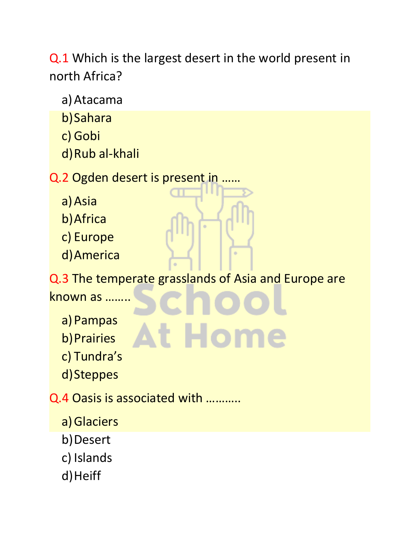Q.1 Which is the largest desert in the world present in north Africa?

a)Atacama

b)Sahara

c) Gobi

d)Rub al-khali

Q.2 Ogden desert is present in ……

- a)Asia
- b)Africa
- c) Europe
- d)America

Q.3 The temperate grasslands of Asia and Europe are

known as ……..

- a) Pampas
- b) Prairies
- c) Tundra's
- d)Steppes

Q.4 Oasis is associated with ………..

- a)Glaciers
- b) Desert
- c) Islands
- d) Heiff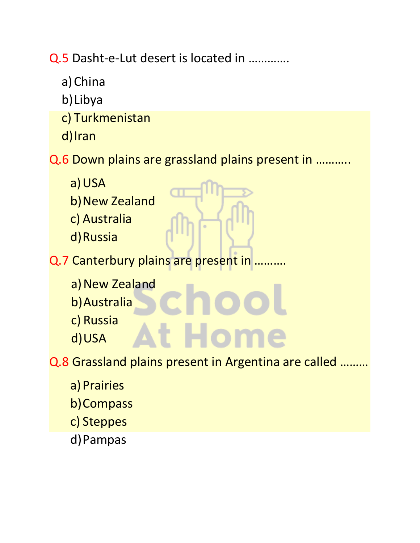Q.5 Dasht-e-Lut desert is located in ………….

- a)China
- b)Libya
- c) Turkmenistan
- d)Iran

Q.6 Down plains are grassland plains present in ………..

- a)USA
- b) New Zealand
- c) Australia
- d)Russia
- Q.7 Canterbury plains are present in .....
	- a) New Zealand
	- b)Australia
	- c) Russia
	- d)USA

Q.8 Grassland plains present in Argentina are called ………

- a) Prairies
- b)Compass
- c) Steppes
- d)Pampas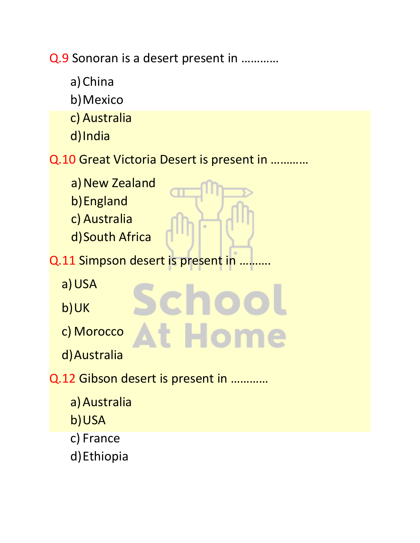Q.9 Sonoran is a desert present in …………

a)China b)Mexico c) Australia d)India Q.10 Great Victoria Desert is present in ………… a) New Zealand b)England c) Australia d)South Africa Q.11 Simpson desert is present in .. a)USA icho b)UK **At Home** c) Morocco d)Australia Q.12 Gibson desert is present in ………… a)Australia b)USA c) France d)Ethiopia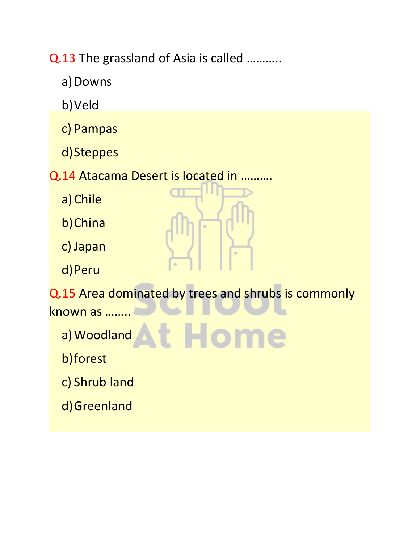Q.13 The grassland of Asia is called ………..

- a) Downs
- b)Veld
- c) Pampas
- d)Steppes
- Q.14 Atacama Desert is located in ……….
	- a)Chile
	- b)China
	- c) Japan
	- d)Peru

Q.15 Area dominated by trees and shrubs is commonly

- known as ……..
	- a)Woodland At Home
	- b)forest
	- c) Shrub land
	- d)Greenland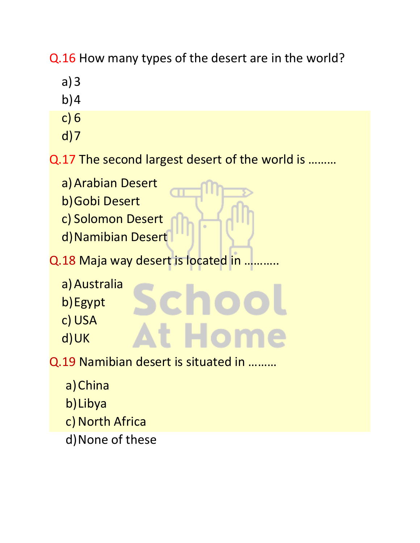Q.16 How many types of the desert are in the world?

- a)3
- $b)4$
- c) 6
- d)7

Q.17 The second largest desert of the world is ………

t Ho

- a) Arabian Desert
- b)Gobi Desert
- c) Solomon Desert
- d)Namibian Desert
- Q.18 Maja way desert is located in ..
	- a)Australia
	- b)Egypt
	- c) USA
	- d)UK

Q.19 Namibian desert is situated in ………

- a)China
- b)Libya
- c) North Africa
- d)None of these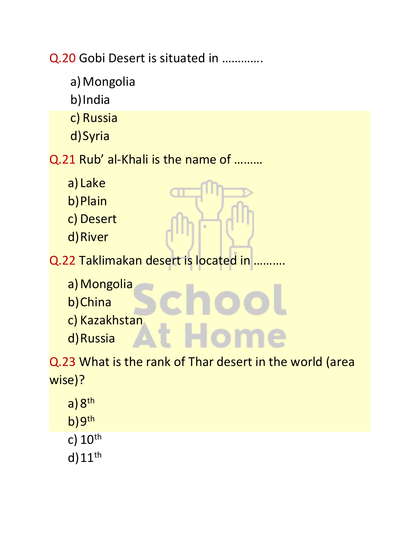Q.20 Gobi Desert is situated in ………….

- a) Mongolia
- b)India
- c) Russia
- d)Syria
- Q.21 Rub' al-Khali is the name of ………
	- a) Lake
	- b)Plain
	- c) Desert
	- d)River
- Q.22 Taklimakan desert is located in ..
	- a) Mongolia
	- b)China
	- c) Kazakhstan
	- d)Russia

Q.23 What is the rank of Thar desert in the world (area wise)?

- a) 8<sup>th</sup>
- b)9<sup>th</sup>
- c)  $10<sup>th</sup>$
- $d$ )11<sup>th</sup>